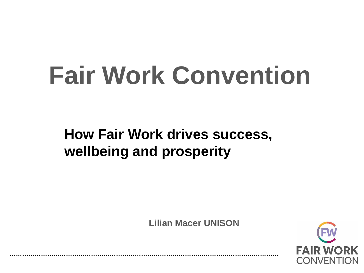# **Fair Work Convention**

**How Fair Work drives success, wellbeing and prosperity** 

…………………………………………………………………………………………………………………

**Lilian Macer UNISON**

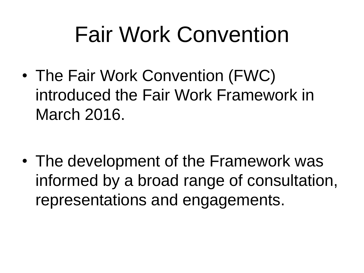#### Fair Work Convention

• The Fair Work Convention (FWC) introduced the Fair Work Framework in March 2016.

• The development of the Framework was informed by a broad range of consultation, representations and engagements.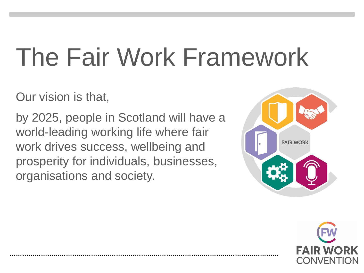## The Fair Work Framework

Our vision is that,

by 2025, people in Scotland will have a world-leading working life where fair work drives success, wellbeing and prosperity for individuals, businesses, organisations and society.

…………………………………………………………………………………………………………………



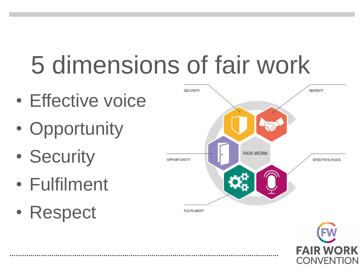## 5 dimensions of fair work

…………………………………………………………………………………………………………………

- Effective voice
- Opportunity
- Security
- Fulfilment
- Respect



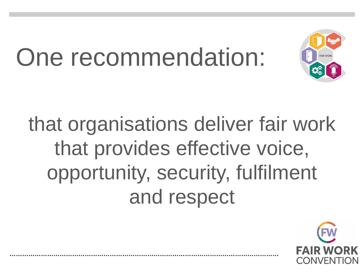### One recommendation:

…………………………………………………………………………………………………………………



that organisations deliver fair work that provides effective voice, opportunity, security, fulfilment and respect

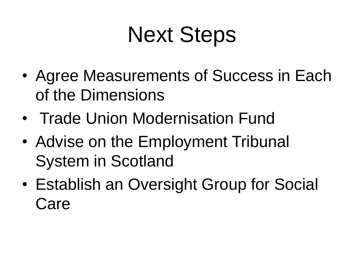### Next Steps

- Agree Measurements of Success in Each of the Dimensions
- Trade Union Modernisation Fund
- Advise on the Employment Tribunal System in Scotland
- Establish an Oversight Group for Social Care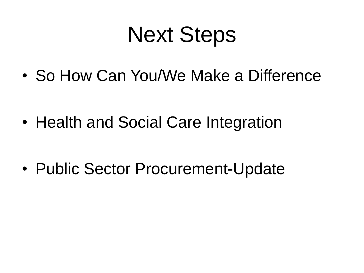#### Next Steps

• So How Can You/We Make a Difference

• Health and Social Care Integration

• Public Sector Procurement-Update